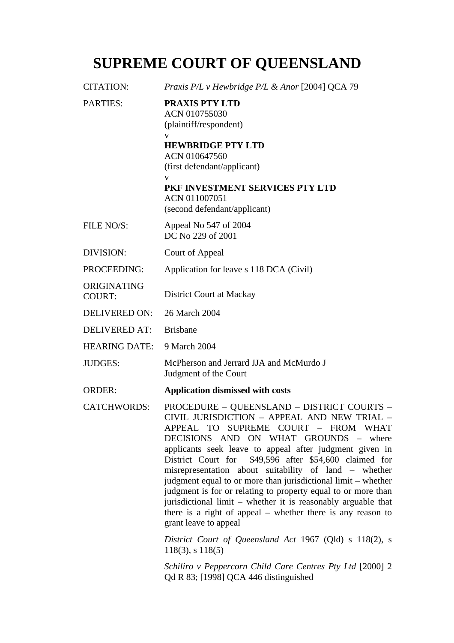## **SUPREME COURT OF QUEENSLAND**

| <b>CITATION:</b>             | Praxis P/L v Hewbridge P/L & Anor [2004] QCA 79                                                                                                                                                                                                                                                                   |
|------------------------------|-------------------------------------------------------------------------------------------------------------------------------------------------------------------------------------------------------------------------------------------------------------------------------------------------------------------|
| <b>PARTIES:</b>              | <b>PRAXIS PTY LTD</b><br>ACN 010755030<br>(plaintiff/respondent)<br>V<br><b>HEWBRIDGE PTY LTD</b><br>ACN 010647560<br>(first defendant/applicant)<br>$\mathbf{V}$<br>PKF INVESTMENT SERVICES PTY LTD<br>ACN 011007051<br>(second defendant/applicant)                                                             |
| FILE NO/S:                   | Appeal No 547 of 2004<br>DC No 229 of 2001                                                                                                                                                                                                                                                                        |
| DIVISION:                    | Court of Appeal                                                                                                                                                                                                                                                                                                   |
| PROCEEDING:                  | Application for leave s 118 DCA (Civil)                                                                                                                                                                                                                                                                           |
| ORIGINATING<br><b>COURT:</b> | District Court at Mackay                                                                                                                                                                                                                                                                                          |
| <b>DELIVERED ON:</b>         | 26 March 2004                                                                                                                                                                                                                                                                                                     |
| <b>DELIVERED AT:</b>         | <b>Brisbane</b>                                                                                                                                                                                                                                                                                                   |
| <b>HEARING DATE:</b>         | 9 March 2004                                                                                                                                                                                                                                                                                                      |
| <b>JUDGES:</b>               | McPherson and Jerrard JJA and McMurdo J<br>Judgment of the Court                                                                                                                                                                                                                                                  |
| <b>ORDER:</b>                | <b>Application dismissed with costs</b>                                                                                                                                                                                                                                                                           |
| <b>CATCHWORDS:</b>           | PROCEDURE - QUEENSLAND - DISTRICT COURTS -<br>CIVIL JURISDICTION - APPEAL AND NEW TRIAL -<br>APPEAL<br><b>TO</b><br>SUPREME COURT - FROM WHAT<br>DECISIONS AND ON WHAT GROUNDS -<br>where<br>applicants seek leave to appeal after judgment given in<br>District Court for<br>\$49,596 after \$54,600 claimed for |

ziven in med for misrepresentation about suitability of land – whether judgment equal to or more than jurisdictional limit – whether judgment is for or relating to property equal to or more than jurisdictional limit – whether it is reasonably arguable that there is a right of appeal – whether there is any reason to grant leave to appeal

*District Court of Queensland Act* 1967 (Qld) s 118(2), s 118(3), s 118(5)

*Schiliro v Peppercorn Child Care Centres Pty Ltd* [2000] 2 Qd R 83; [1998] QCA 446 distinguished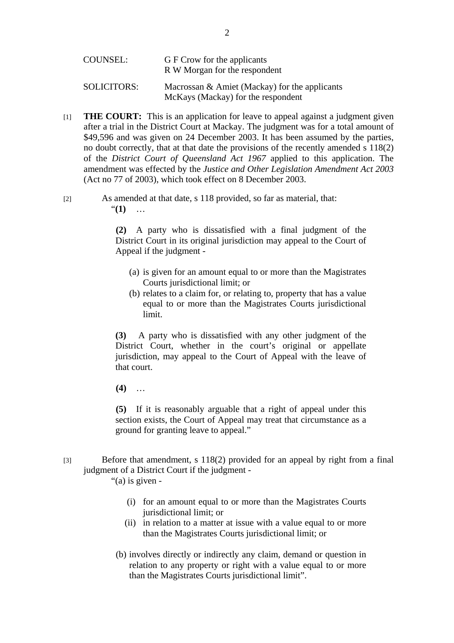| COUNSEL:    | G F Crow for the applicants<br>R W Morgan for the respondent                           |
|-------------|----------------------------------------------------------------------------------------|
| SOLICITORS: | Macrossan $\&$ Amiet (Mackay) for the applicants<br>McKays (Mackay) for the respondent |

- [1] **THE COURT:** This is an application for leave to appeal against a judgment given after a trial in the District Court at Mackay. The judgment was for a total amount of \$49,596 and was given on 24 December 2003. It has been assumed by the parties, no doubt correctly, that at that date the provisions of the recently amended s 118(2) of the *District Court of Queensland Act 1967* applied to this application. The amendment was effected by the *Justice and Other Legislation Amendment Act 2003* (Act no 77 of 2003), which took effect on 8 December 2003.
- [2] As amended at that date, s 118 provided, so far as material, that: "**(1)** …

 **(2)** A party who is dissatisfied with a final judgment of the District Court in its original jurisdiction may appeal to the Court of Appeal if the judgment -

- (a) is given for an amount equal to or more than the Magistrates Courts jurisdictional limit; or
- (b) relates to a claim for, or relating to, property that has a value equal to or more than the Magistrates Courts jurisdictional limit.

**(3)** A party who is dissatisfied with any other judgment of the District Court, whether in the court's original or appellate jurisdiction, may appeal to the Court of Appeal with the leave of that court.

**(4)** …

 **(5)** If it is reasonably arguable that a right of appeal under this section exists, the Court of Appeal may treat that circumstance as a ground for granting leave to appeal."

[3] Before that amendment, s 118(2) provided for an appeal by right from a final judgment of a District Court if the judgment -

"(a) is given -

- (i) for an amount equal to or more than the Magistrates Courts jurisdictional limit; or
- (ii) in relation to a matter at issue with a value equal to or more than the Magistrates Courts jurisdictional limit; or
- (b) involves directly or indirectly any claim, demand or question in relation to any property or right with a value equal to or more than the Magistrates Courts jurisdictional limit".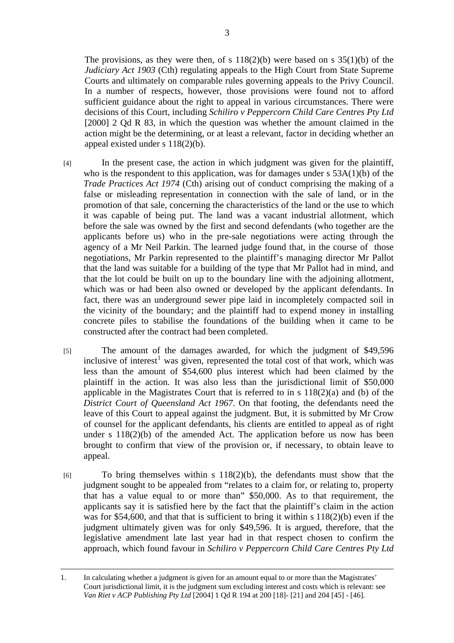The provisions, as they were then, of s  $118(2)(b)$  were based on s  $35(1)(b)$  of the *Judiciary Act 1903* (Cth) regulating appeals to the High Court from State Supreme Courts and ultimately on comparable rules governing appeals to the Privy Council. In a number of respects, however, those provisions were found not to afford sufficient guidance about the right to appeal in various circumstances. There were decisions of this Court, including *Schiliro v Peppercorn Child Care Centres Pty Ltd* [2000] 2 Qd R 83, in which the question was whether the amount claimed in the action might be the determining, or at least a relevant, factor in deciding whether an appeal existed under s 118(2)(b).

- [4] In the present case, the action in which judgment was given for the plaintiff, who is the respondent to this application, was for damages under s 53A(1)(b) of the *Trade Practices Act 1974* (Cth) arising out of conduct comprising the making of a false or misleading representation in connection with the sale of land, or in the promotion of that sale, concerning the characteristics of the land or the use to which it was capable of being put. The land was a vacant industrial allotment, which before the sale was owned by the first and second defendants (who together are the applicants before us) who in the pre-sale negotiations were acting through the agency of a Mr Neil Parkin. The learned judge found that, in the course of those negotiations, Mr Parkin represented to the plaintiff's managing director Mr Pallot that the land was suitable for a building of the type that Mr Pallot had in mind, and that the lot could be built on up to the boundary line with the adjoining allotment, which was or had been also owned or developed by the applicant defendants. In fact, there was an underground sewer pipe laid in incompletely compacted soil in the vicinity of the boundary; and the plaintiff had to expend money in installing concrete piles to stabilise the foundations of the building when it came to be constructed after the contract had been completed.
- [5] The amount of the damages awarded, for which the judgment of \$49,596 inclusive of interest<sup>1</sup> was given, represented the total cost of that work, which was less than the amount of \$54,600 plus interest which had been claimed by the plaintiff in the action. It was also less than the jurisdictional limit of \$50,000 applicable in the Magistrates Court that is referred to in s 118(2)(a) and (b) of the *District Court of Queensland Act 1967*. On that footing, the defendants need the leave of this Court to appeal against the judgment. But, it is submitted by Mr Crow of counsel for the applicant defendants, his clients are entitled to appeal as of right under s  $118(2)(b)$  of the amended Act. The application before us now has been brought to confirm that view of the provision or, if necessary, to obtain leave to appeal.
- [6] To bring themselves within s 118(2)(b), the defendants must show that the judgment sought to be appealed from "relates to a claim for, or relating to, property that has a value equal to or more than" \$50,000. As to that requirement, the applicants say it is satisfied here by the fact that the plaintiff's claim in the action was for \$54,600, and that that is sufficient to bring it within s 118(2)(b) even if the judgment ultimately given was for only \$49,596. It is argued, therefore, that the legislative amendment late last year had in that respect chosen to confirm the approach, which found favour in *Schiliro v Peppercorn Child Care Centres Pty Ltd*

 <sup>1.</sup> In calculating whether a judgment is given for an amount equal to or more than the Magistrates' Court jurisdictional limit, it is the judgment sum excluding interest and costs which is relevant: see *Van Riet v ACP Publishing Pty Ltd* [2004] 1 Qd R 194 at 200 [18]- [21] and 204 [45] - [46].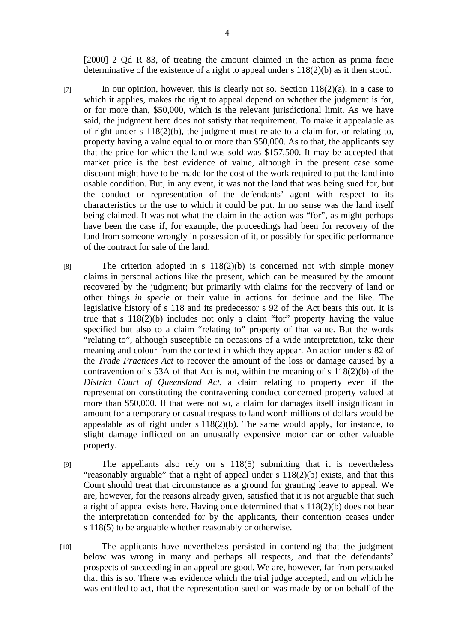[2000] 2 Qd R 83, of treating the amount claimed in the action as prima facie determinative of the existence of a right to appeal under s 118(2)(b) as it then stood.

- $\lceil 7 \rceil$  In our opinion, however, this is clearly not so. Section 118(2)(a), in a case to which it applies, makes the right to appeal depend on whether the judgment is for, or for more than, \$50,000, which is the relevant jurisdictional limit. As we have said, the judgment here does not satisfy that requirement. To make it appealable as of right under s 118(2)(b), the judgment must relate to a claim for, or relating to, property having a value equal to or more than \$50,000. As to that, the applicants say that the price for which the land was sold was \$157,500. It may be accepted that market price is the best evidence of value, although in the present case some discount might have to be made for the cost of the work required to put the land into usable condition. But, in any event, it was not the land that was being sued for, but the conduct or representation of the defendants' agent with respect to its characteristics or the use to which it could be put. In no sense was the land itself being claimed. It was not what the claim in the action was "for", as might perhaps have been the case if, for example, the proceedings had been for recovery of the land from someone wrongly in possession of it, or possibly for specific performance of the contract for sale of the land.
- [8] The criterion adopted in s  $118(2)(b)$  is concerned not with simple money claims in personal actions like the present, which can be measured by the amount recovered by the judgment; but primarily with claims for the recovery of land or other things *in specie* or their value in actions for detinue and the like. The legislative history of s 118 and its predecessor s 92 of the Act bears this out. It is true that s 118(2)(b) includes not only a claim "for" property having the value specified but also to a claim "relating to" property of that value. But the words "relating to", although susceptible on occasions of a wide interpretation, take their meaning and colour from the context in which they appear. An action under s 82 of the *Trade Practices Act* to recover the amount of the loss or damage caused by a contravention of s 53A of that Act is not, within the meaning of s 118(2)(b) of the *District Court of Queensland Act*, a claim relating to property even if the representation constituting the contravening conduct concerned property valued at more than \$50,000. If that were not so, a claim for damages itself insignificant in amount for a temporary or casual trespass to land worth millions of dollars would be appealable as of right under  $s 118(2)(b)$ . The same would apply, for instance, to slight damage inflicted on an unusually expensive motor car or other valuable property.
- [9] The appellants also rely on s 118(5) submitting that it is nevertheless "reasonably arguable" that a right of appeal under s 118(2)(b) exists, and that this Court should treat that circumstance as a ground for granting leave to appeal. We are, however, for the reasons already given, satisfied that it is not arguable that such a right of appeal exists here. Having once determined that s 118(2)(b) does not bear the interpretation contended for by the applicants, their contention ceases under s 118(5) to be arguable whether reasonably or otherwise.
- [10] The applicants have nevertheless persisted in contending that the judgment below was wrong in many and perhaps all respects, and that the defendants' prospects of succeeding in an appeal are good. We are, however, far from persuaded that this is so. There was evidence which the trial judge accepted, and on which he was entitled to act, that the representation sued on was made by or on behalf of the